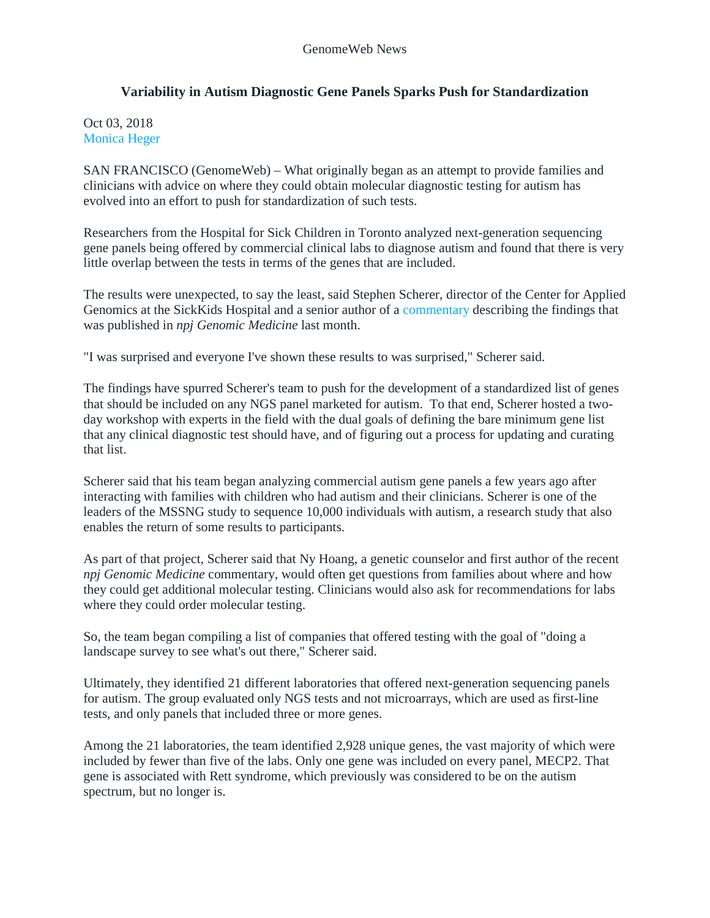## **Variability in Autism Diagnostic Gene Panels Sparks Push for Standardization**

Oct 03, 2018 [Monica Heger](https://www.genomeweb.com/about-us/our-staff/monica-heger)

SAN FRANCISCO (GenomeWeb) – What originally began as an attempt to provide families and clinicians with advice on where they could obtain molecular diagnostic testing for autism has evolved into an effort to push for standardization of such tests.

Researchers from the Hospital for Sick Children in Toronto analyzed next-generation sequencing gene panels being offered by commercial clinical labs to diagnose autism and found that there is very little overlap between the tests in terms of the genes that are included.

The results were unexpected, to say the least, said Stephen Scherer, director of the Center for Applied Genomics at the SickKids Hospital and a senior author of a [commentary](https://www.nature.com/articles/s41525-018-0066-3) describing the findings that was published in *npj Genomic Medicine* last month.

"I was surprised and everyone I've shown these results to was surprised," Scherer said.

The findings have spurred Scherer's team to push for the development of a standardized list of genes that should be included on any NGS panel marketed for autism. To that end, Scherer hosted a twoday workshop with experts in the field with the dual goals of defining the bare minimum gene list that any clinical diagnostic test should have, and of figuring out a process for updating and curating that list.

Scherer said that his team began analyzing commercial autism gene panels a few years ago after interacting with families with children who had autism and their clinicians. Scherer is one of the leaders of the MSSNG study to sequence 10,000 individuals with autism, a research study that also enables the return of some results to participants.

As part of that project, Scherer said that Ny Hoang, a genetic counselor and first author of the recent *npj Genomic Medicine* commentary, would often get questions from families about where and how they could get additional molecular testing. Clinicians would also ask for recommendations for labs where they could order molecular testing.

So, the team began compiling a list of companies that offered testing with the goal of "doing a landscape survey to see what's out there," Scherer said.

Ultimately, they identified 21 different laboratories that offered next-generation sequencing panels for autism. The group evaluated only NGS tests and not microarrays, which are used as first-line tests, and only panels that included three or more genes.

Among the 21 laboratories, the team identified 2,928 unique genes, the vast majority of which were included by fewer than five of the labs. Only one gene was included on every panel, MECP2. That gene is associated with Rett syndrome, which previously was considered to be on the autism spectrum, but no longer is.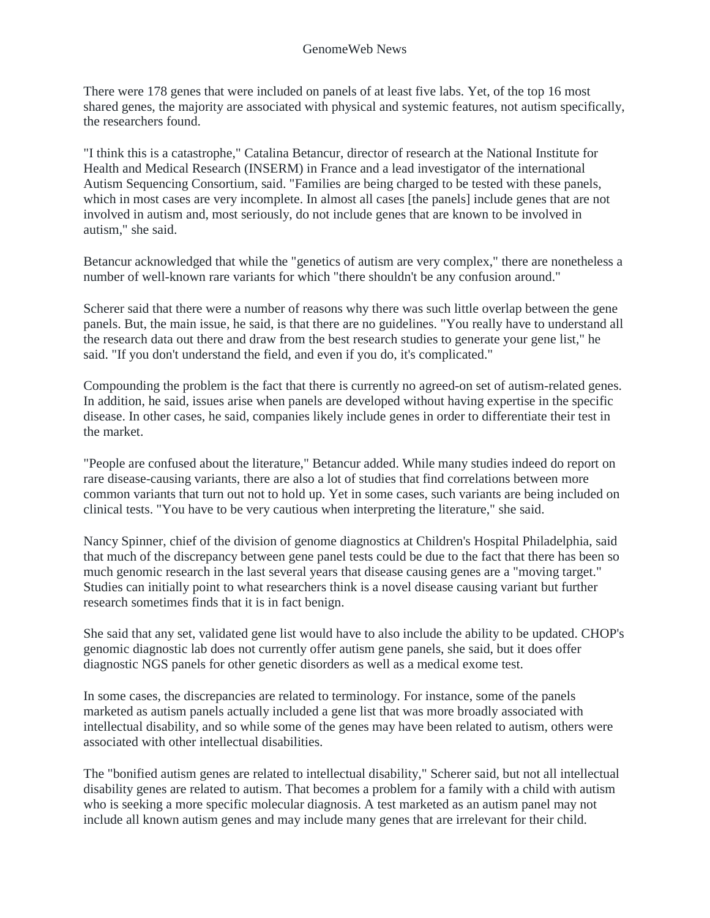There were 178 genes that were included on panels of at least five labs. Yet, of the top 16 most shared genes, the majority are associated with physical and systemic features, not autism specifically, the researchers found.

"I think this is a catastrophe," Catalina Betancur, director of research at the National Institute for Health and Medical Research (INSERM) in France and a lead investigator of the international Autism Sequencing Consortium, said. "Families are being charged to be tested with these panels, which in most cases are very incomplete. In almost all cases [the panels] include genes that are not involved in autism and, most seriously, do not include genes that are known to be involved in autism," she said.

Betancur acknowledged that while the "genetics of autism are very complex," there are nonetheless a number of well-known rare variants for which "there shouldn't be any confusion around."

Scherer said that there were a number of reasons why there was such little overlap between the gene panels. But, the main issue, he said, is that there are no guidelines. "You really have to understand all the research data out there and draw from the best research studies to generate your gene list," he said. "If you don't understand the field, and even if you do, it's complicated."

Compounding the problem is the fact that there is currently no agreed-on set of autism-related genes. In addition, he said, issues arise when panels are developed without having expertise in the specific disease. In other cases, he said, companies likely include genes in order to differentiate their test in the market.

"People are confused about the literature," Betancur added. While many studies indeed do report on rare disease-causing variants, there are also a lot of studies that find correlations between more common variants that turn out not to hold up. Yet in some cases, such variants are being included on clinical tests. "You have to be very cautious when interpreting the literature," she said.

Nancy Spinner, chief of the division of genome diagnostics at Children's Hospital Philadelphia, said that much of the discrepancy between gene panel tests could be due to the fact that there has been so much genomic research in the last several years that disease causing genes are a "moving target." Studies can initially point to what researchers think is a novel disease causing variant but further research sometimes finds that it is in fact benign.

She said that any set, validated gene list would have to also include the ability to be updated. CHOP's genomic diagnostic lab does not currently offer autism gene panels, she said, but it does offer diagnostic NGS panels for other genetic disorders as well as a medical exome test.

In some cases, the discrepancies are related to terminology. For instance, some of the panels marketed as autism panels actually included a gene list that was more broadly associated with intellectual disability, and so while some of the genes may have been related to autism, others were associated with other intellectual disabilities.

The "bonified autism genes are related to intellectual disability," Scherer said, but not all intellectual disability genes are related to autism. That becomes a problem for a family with a child with autism who is seeking a more specific molecular diagnosis. A test marketed as an autism panel may not include all known autism genes and may include many genes that are irrelevant for their child.